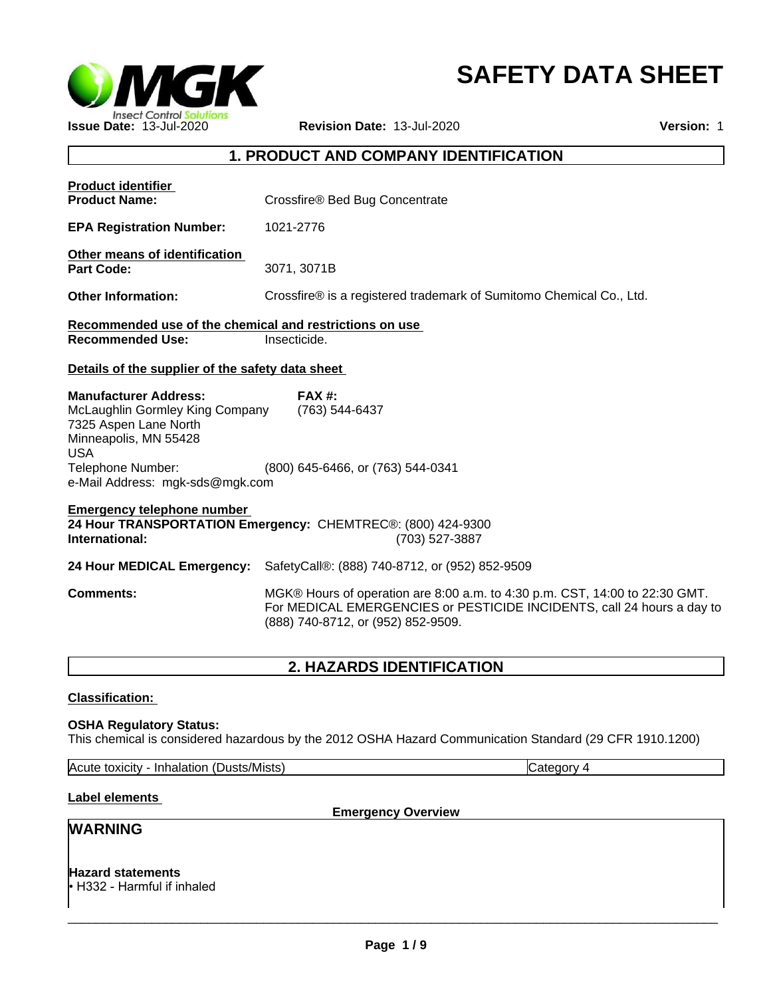

# **SAFETY DATA SHEET**

# **1. PRODUCT AND COMPANY IDENTIFICATION**

| <b>Product identifier</b><br><b>Product Name:</b>                                                                                                                                       | Crossfire® Bed Bug Concentrate                                                                                                                                                              |
|-----------------------------------------------------------------------------------------------------------------------------------------------------------------------------------------|---------------------------------------------------------------------------------------------------------------------------------------------------------------------------------------------|
| <b>EPA Registration Number:</b>                                                                                                                                                         | 1021-2776                                                                                                                                                                                   |
| Other means of identification<br><b>Part Code:</b>                                                                                                                                      | 3071, 3071B                                                                                                                                                                                 |
| <b>Other Information:</b>                                                                                                                                                               | Crossfire® is a registered trademark of Sumitomo Chemical Co., Ltd.                                                                                                                         |
| Recommended use of the chemical and restrictions on use                                                                                                                                 |                                                                                                                                                                                             |
| <b>Recommended Use:</b>                                                                                                                                                                 | Insecticide.                                                                                                                                                                                |
| Details of the supplier of the safety data sheet                                                                                                                                        |                                                                                                                                                                                             |
| <b>Manufacturer Address:</b><br>McLaughlin Gormley King Company<br>7325 Aspen Lane North<br>Minneapolis, MN 55428<br><b>USA</b><br>Telephone Number:<br>e-Mail Address: mgk-sds@mgk.com | <b>FAX #:</b><br>(763) 544-6437<br>(800) 645-6466, or (763) 544-0341                                                                                                                        |
| <b>Emergency telephone number</b><br>International:                                                                                                                                     | 24 Hour TRANSPORTATION Emergency: CHEMTREC®: (800) 424-9300<br>(703) 527-3887                                                                                                               |
| 24 Hour MEDICAL Emergency:                                                                                                                                                              | SafetyCall®: (888) 740-8712, or (952) 852-9509                                                                                                                                              |
| <b>Comments:</b>                                                                                                                                                                        | MGK® Hours of operation are 8:00 a.m. to 4:30 p.m. CST, 14:00 to 22:30 GMT.<br>For MEDICAL EMERGENCIES or PESTICIDE INCIDENTS, call 24 hours a day to<br>(888) 740-8712, or (952) 852-9509. |
|                                                                                                                                                                                         | <b>2. HAZARDS IDENTIFICATION</b>                                                                                                                                                            |
| <b>Classification:</b>                                                                                                                                                                  |                                                                                                                                                                                             |

**OSHA Regulatory Status:** This chemical is considered hazardous by the 2012 OSHA Hazard Communication Standard (29 CFR 1910.1200)

| Acute<br>Inhalation<br>toxicity | (Dusts/Mists) | vionate<br>1. Jal |
|---------------------------------|---------------|-------------------|

# **Label elements**

**Emergency Overview**

# **WARNING**

**Hazard statements** • H332 - Harmful if inhaled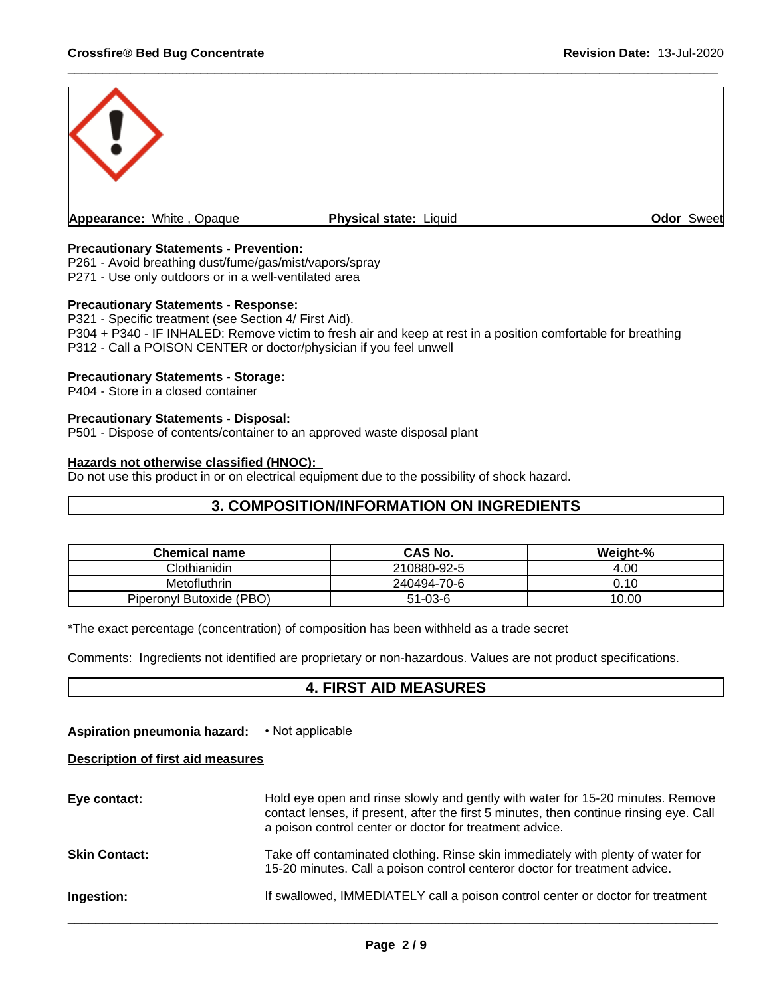

# **Precautionary Statements - Prevention:**

P261 - Avoid breathing dust/fume/gas/mist/vapors/spray P271 - Use only outdoors or in a well-ventilated area

# **Precautionary Statements - Response:**

P321 - Specific treatment (see Section 4/ First Aid). P304 + P340 - IF INHALED: Remove victim to fresh air and keep at rest in a position comfortable for breathing P312 - Call a POISON CENTER or doctor/physician if you feel unwell

# **Precautionary Statements - Storage:**

P404 - Store in a closed container

# **Precautionary Statements - Disposal:**

P501 - Dispose of contents/container to an approved waste disposal plant

# **Hazards not otherwise classified (HNOC):**

Do not use this product in or on electrical equipment due to the possibility of shock hazard.

# **3. COMPOSITION/INFORMATION ON INGREDIENTS**

| <b>Chemical name</b>     | <b>CAS No.</b> | Weight-% |
|--------------------------|----------------|----------|
| Clothianidin             | 210880-92-5    | 4.00     |
| Metofluthrin             | 240494-70-6    | 0.10     |
| Piperonyl Butoxide (PBO) | $51-03-6$      | 10.00    |

\*The exact percentage (concentration) of composition has been withheld as a trade secret

Comments: Ingredients not identified are proprietary or non-hazardous. Values are not product specifications.

# **4. FIRST AID MEASURES**

# **Aspiration pneumonia hazard:** • Not applicable

# **Description of first aid measures**

| Hold eye open and rinse slowly and gently with water for 15-20 minutes. Remove<br>contact lenses, if present, after the first 5 minutes, then continue rinsing eye. Call<br>a poison control center or doctor for treatment advice. |
|-------------------------------------------------------------------------------------------------------------------------------------------------------------------------------------------------------------------------------------|
| Take off contaminated clothing. Rinse skin immediately with plenty of water for<br>15-20 minutes. Call a poison control centeror doctor for treatment advice.                                                                       |
| If swallowed, IMMEDIATELY call a poison control center or doctor for treatment                                                                                                                                                      |
|                                                                                                                                                                                                                                     |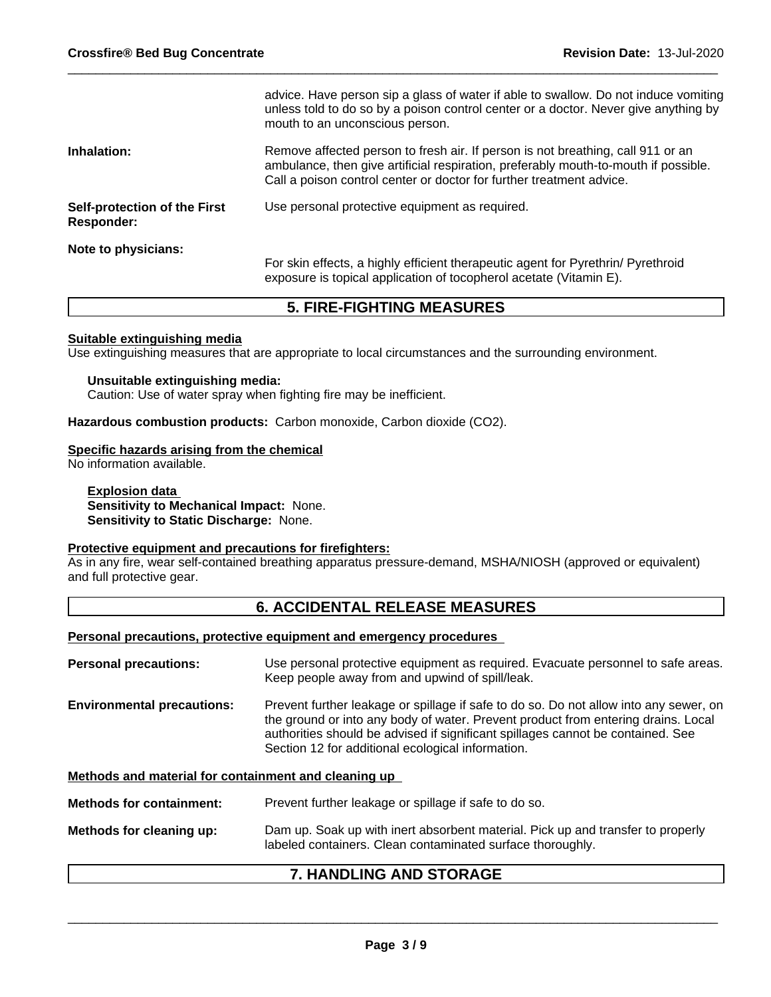|                                                   | advice. Have person sip a glass of water if able to swallow. Do not induce vomiting<br>unless told to do so by a poison control center or a doctor. Never give anything by<br>mouth to an unconscious person.                                  |
|---------------------------------------------------|------------------------------------------------------------------------------------------------------------------------------------------------------------------------------------------------------------------------------------------------|
| Inhalation:                                       | Remove affected person to fresh air. If person is not breathing, call 911 or an<br>ambulance, then give artificial respiration, preferably mouth-to-mouth if possible.<br>Call a poison control center or doctor for further treatment advice. |
| Self-protection of the First<br><b>Responder:</b> | Use personal protective equipment as required.                                                                                                                                                                                                 |
| Note to physicians:                               |                                                                                                                                                                                                                                                |
|                                                   | For skin effects, a highly efficient therapeutic agent for Pyrethrin/ Pyrethroid<br>exposure is topical application of tocopherol acetate (Vitamin E).                                                                                         |

# **5. FIRE-FIGHTING MEASURES**

# **Suitable extinguishing media**

Use extinguishing measures that are appropriate to local circumstances and the surrounding environment.

# **Unsuitable extinguishing media:**

Caution: Use of water spray when fighting fire may be inefficient.

**Hazardous combustion products:** Carbon monoxide, Carbon dioxide (CO2).

# **Specific hazards arising from the chemical**

No information available.

# **Explosion data Sensitivity to Mechanical Impact:** None. **Sensitivity to Static Discharge:** None.

# **Protective equipment and precautions for firefighters:**

As in any fire, wear self-contained breathing apparatus pressure-demand, MSHA/NIOSH (approved or equivalent) and full protective gear.

# **6. ACCIDENTAL RELEASE MEASURES**

# **Personal precautions, protective equipment and emergency procedures**

| <b>Personal precautions:</b>                         | Use personal protective equipment as required. Evacuate personnel to safe areas.<br>Keep people away from and upwind of spill/leak.                                                                                                                                                                                |
|------------------------------------------------------|--------------------------------------------------------------------------------------------------------------------------------------------------------------------------------------------------------------------------------------------------------------------------------------------------------------------|
| <b>Environmental precautions:</b>                    | Prevent further leakage or spillage if safe to do so. Do not allow into any sewer, on<br>the ground or into any body of water. Prevent product from entering drains. Local<br>authorities should be advised if significant spillages cannot be contained. See<br>Section 12 for additional ecological information. |
| Methods and material for containment and cleaning up |                                                                                                                                                                                                                                                                                                                    |
| <b>Methods for containment:</b>                      | Prevent further leakage or spillage if safe to do so.                                                                                                                                                                                                                                                              |
| Methods for cleaning up:                             | Dam up. Soak up with inert absorbent material. Pick up and transfer to properly<br>labeled containers. Clean contaminated surface thoroughly.                                                                                                                                                                      |

# **7. HANDLING AND STORAGE**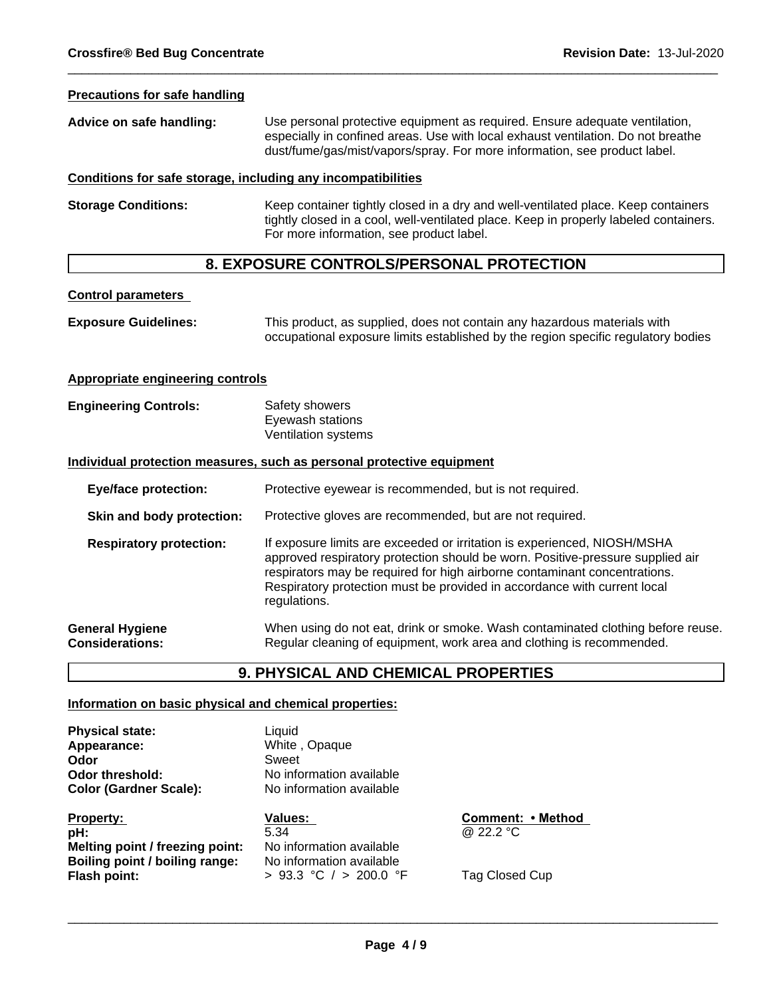# **Precautions for safe handling**

| Advice on safe handling: | Use personal protective equipment as required. Ensure adequate ventilation,      |
|--------------------------|----------------------------------------------------------------------------------|
|                          | especially in confined areas. Use with local exhaust ventilation. Do not breathe |
|                          | dust/fume/gas/mist/vapors/spray. For more information, see product label.        |

#### **Conditions for safe storage, including any incompatibilities**

**Storage Conditions:** Keep container tightly closed in a dry and well-ventilated place. Keep containers tightly closed in a cool, well-ventilated place. Keep in properly labeled containers. For more information, see product label.

# **8. EXPOSURE CONTROLS/PERSONAL PROTECTION**

#### **Control parameters**

| <b>Exposure Guidelines:</b> | This product, as supplied, does not contain any hazardous materials with          |
|-----------------------------|-----------------------------------------------------------------------------------|
|                             | occupational exposure limits established by the region specific regulatory bodies |

#### **Appropriate engineering controls**

**Engineering Controls:** Safety showers Eyewash stations Ventilation systems

#### **Individual protection measures, such as personal protective equipment**

| Protective eyewear is recommended, but is not required.<br><b>Eye/face protection:</b>                                                                                                                                                                                                                                                                                |
|-----------------------------------------------------------------------------------------------------------------------------------------------------------------------------------------------------------------------------------------------------------------------------------------------------------------------------------------------------------------------|
| Protective gloves are recommended, but are not required.<br>Skin and body protection:                                                                                                                                                                                                                                                                                 |
| If exposure limits are exceeded or irritation is experienced, NIOSH/MSHA<br><b>Respiratory protection:</b><br>approved respiratory protection should be worn. Positive-pressure supplied air<br>respirators may be required for high airborne contaminant concentrations.<br>Respiratory protection must be provided in accordance with current local<br>regulations. |
| When using do not eat, drink or smoke. Wash contaminated clothing before reuse.<br>Regular cleaning of equipment, work area and clothing is recommended.                                                                                                                                                                                                              |
|                                                                                                                                                                                                                                                                                                                                                                       |

# **9. PHYSICAL AND CHEMICAL PROPERTIES**

# **Information on basic physical and chemical properties:**

**Physical state:** Liquid **Appearance:** White , Opaque **Odor** Sweet **Color (Gardner Scale):** 

**Property: Values: Comment:•Method pH:** 5.34 @ 22.2 °C **Melting point / freezing point:** No information available **Boiling point / boiling range:** No information available<br>**Flash point:**  $> 93.3 °C / > 200.0 °$ 

**Odor threshold:** No information available<br> **Color (Gardner Scale):** No information available

> 93.3 °C / > 200.0 °F Tag Closed Cup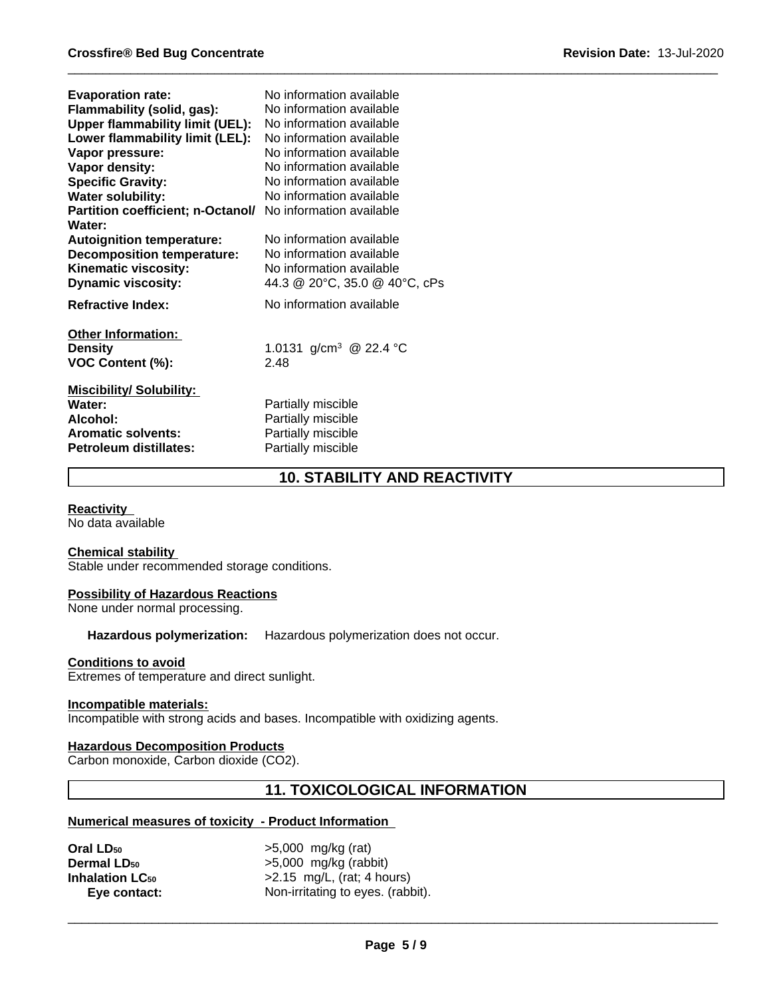| <b>Evaporation rate:</b>                 | No information available           |
|------------------------------------------|------------------------------------|
| Flammability (solid, gas):               | No information available           |
| <b>Upper flammability limit (UEL):</b>   | No information available           |
| Lower flammability limit (LEL):          | No information available           |
| Vapor pressure:                          | No information available           |
| Vapor density:                           | No information available           |
| <b>Specific Gravity:</b>                 | No information available           |
| <b>Water solubility:</b>                 | No information available           |
| <b>Partition coefficient; n-Octanol/</b> | No information available           |
| Water:                                   |                                    |
| <b>Autoignition temperature:</b>         | No information available           |
| <b>Decomposition temperature:</b>        | No information available           |
| Kinematic viscosity:                     | No information available           |
| <b>Dynamic viscosity:</b>                | 44.3 @ 20°C, 35.0 @ 40°C, cPs      |
| <b>Refractive Index:</b>                 | No information available           |
| <b>Other Information:</b>                |                                    |
| <b>Density</b>                           | 1.0131 g/cm <sup>3</sup> @ 22.4 °C |
| VOC Content (%):                         | 2.48                               |
| <b>Miscibility/Solubility:</b>           |                                    |
| Water:                                   | Partially miscible                 |
| Alcohol:                                 | Partially miscible                 |
| <b>Aromatic solvents:</b>                | Partially miscible                 |
| Petroleum distillates:                   | Partially miscible                 |

# **10. STABILITY AND REACTIVITY**

# **Reactivity**

No data available

#### **Chemical stability**

Stable under recommended storage conditions.

#### **Possibility of Hazardous Reactions**

None under normal processing.

# **Hazardous polymerization:** Hazardous polymerization does not occur.

#### **Conditions to avoid**

Extremes of temperature and direct sunlight.

#### **Incompatible materials:**

Incompatible with strong acids and bases. Incompatible with oxidizing agents.

# **Hazardous Decomposition Products**

Carbon monoxide, Carbon dioxide (CO2).

# **11. TOXICOLOGICAL INFORMATION**

# **Numerical measures of toxicity - Product Information**

| Oral LD50              | $>5,000$ mg/kg (rat)              |  |
|------------------------|-----------------------------------|--|
| <b>Dermal LD50</b>     | $>5,000$ mg/kg (rabbit)           |  |
| <b>Inhalation LC50</b> | $>2.15$ mg/L, (rat; 4 hours)      |  |
| Eye contact:           | Non-irritating to eyes. (rabbit). |  |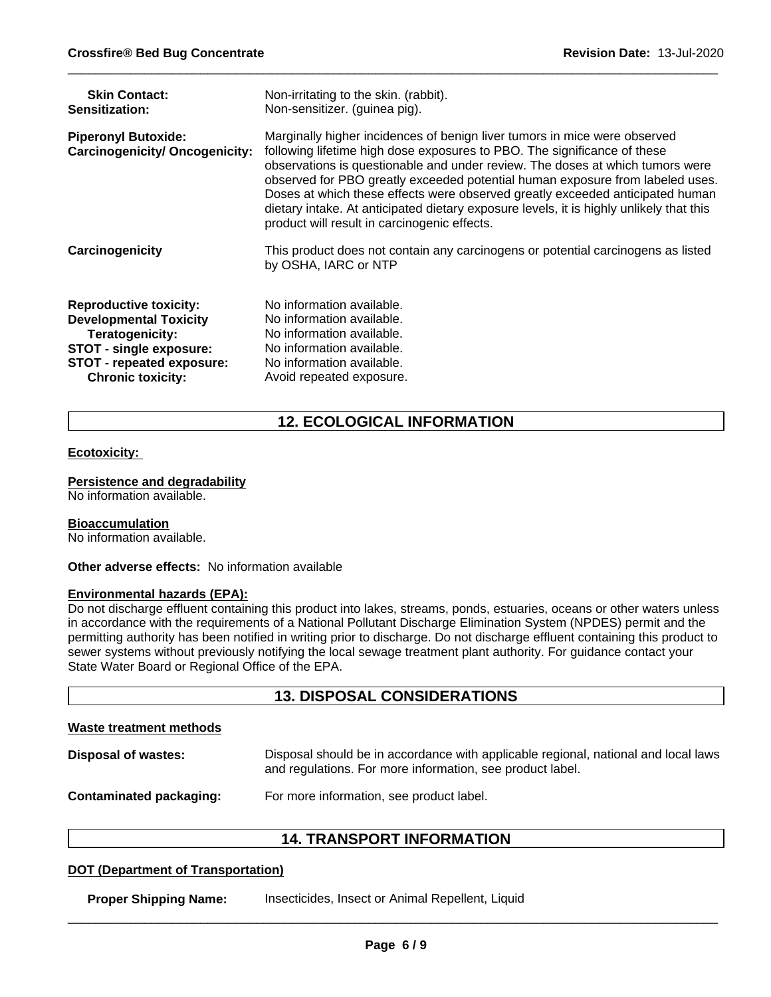| <b>Skin Contact:</b>                                                | Non-irritating to the skin. (rabbit).                                                                                                                                                                                                                                                                                                                                                                                                                                                                                                               |
|---------------------------------------------------------------------|-----------------------------------------------------------------------------------------------------------------------------------------------------------------------------------------------------------------------------------------------------------------------------------------------------------------------------------------------------------------------------------------------------------------------------------------------------------------------------------------------------------------------------------------------------|
| Sensitization:                                                      | Non-sensitizer. (guinea pig).                                                                                                                                                                                                                                                                                                                                                                                                                                                                                                                       |
| <b>Piperonyl Butoxide:</b><br><b>Carcinogenicity/ Oncogenicity:</b> | Marginally higher incidences of benign liver tumors in mice were observed<br>following lifetime high dose exposures to PBO. The significance of these<br>observations is questionable and under review. The doses at which tumors were<br>observed for PBO greatly exceeded potential human exposure from labeled uses.<br>Doses at which these effects were observed greatly exceeded anticipated human<br>dietary intake. At anticipated dietary exposure levels, it is highly unlikely that this<br>product will result in carcinogenic effects. |
| Carcinogenicity                                                     | This product does not contain any carcinogens or potential carcinogens as listed<br>by OSHA, IARC or NTP                                                                                                                                                                                                                                                                                                                                                                                                                                            |
| <b>Reproductive toxicity:</b>                                       | No information available.                                                                                                                                                                                                                                                                                                                                                                                                                                                                                                                           |
| <b>Developmental Toxicity</b>                                       | No information available.                                                                                                                                                                                                                                                                                                                                                                                                                                                                                                                           |
| <b>Teratogenicity:</b>                                              | No information available.                                                                                                                                                                                                                                                                                                                                                                                                                                                                                                                           |
| STOT - single exposure:                                             | No information available.                                                                                                                                                                                                                                                                                                                                                                                                                                                                                                                           |
| <b>STOT - repeated exposure:</b>                                    | No information available.                                                                                                                                                                                                                                                                                                                                                                                                                                                                                                                           |
| <b>Chronic toxicity:</b>                                            | Avoid repeated exposure.                                                                                                                                                                                                                                                                                                                                                                                                                                                                                                                            |

# **12. ECOLOGICAL INFORMATION**

# **Ecotoxicity:**

# **Persistence and degradability**

No information available.

#### **Bioaccumulation**

No information available.

# **Other adverse effects:** No information available

#### **Environmental hazards (EPA):**

Do not discharge effluent containing this product into lakes, streams, ponds, estuaries, oceans or other waters unless in accordance with the requirements of a National Pollutant Discharge Elimination System (NPDES) permit and the permitting authority has been notified in writing prior to discharge. Do not discharge effluent containing this product to sewer systems without previously notifying the local sewage treatment plant authority. For guidance contact your State Water Board or Regional Office of the EPA.

# **13. DISPOSAL CONSIDERATIONS**

# **Waste treatment methods**

| Disposal of wastes:     | Disposal should be in accordance with applicable regional, national and local laws<br>and regulations. For more information, see product label. |
|-------------------------|-------------------------------------------------------------------------------------------------------------------------------------------------|
| Contaminated packaging: | For more information, see product label.                                                                                                        |

# **14. TRANSPORT INFORMATION**

# **DOT (Department of Transportation)**

**Proper Shipping Name:** Insecticides, Insect or Animal Repellent, Liquid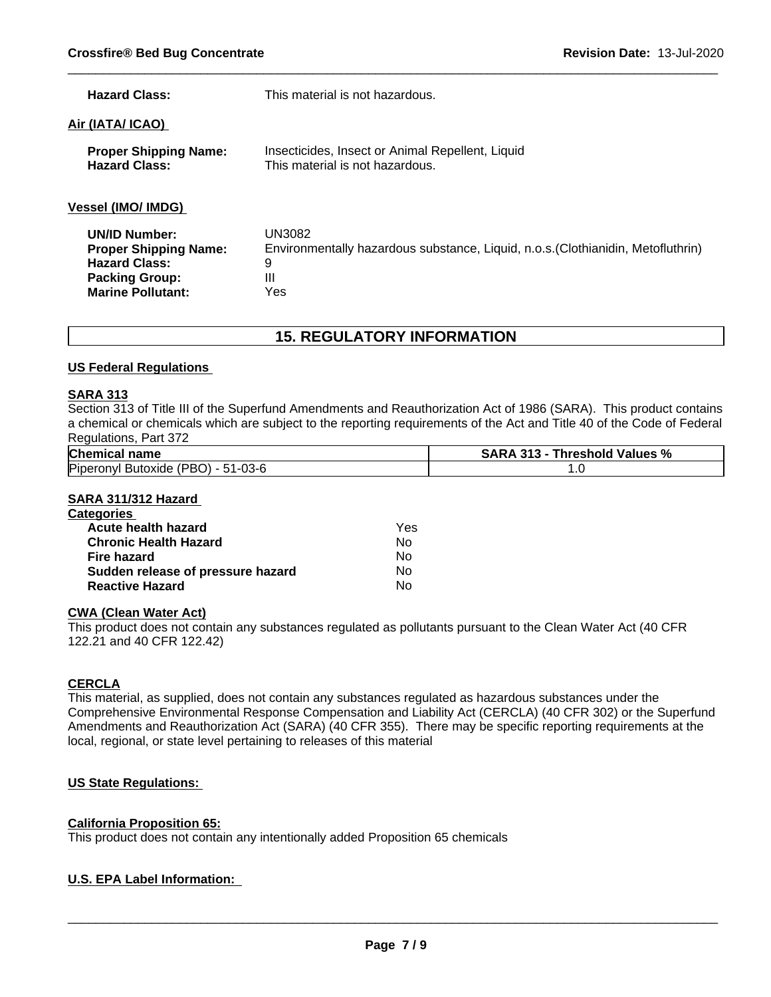| <b>Hazard Class:</b>                                                                                                              | This material is not hazardous.                                                                             |
|-----------------------------------------------------------------------------------------------------------------------------------|-------------------------------------------------------------------------------------------------------------|
| Air (IATA/ ICAO)                                                                                                                  |                                                                                                             |
| <b>Proper Shipping Name:</b><br><b>Hazard Class:</b>                                                                              | Insecticides, Insect or Animal Repellent, Liquid<br>This material is not hazardous.                         |
| <b>Vessel (IMO/ IMDG)</b>                                                                                                         |                                                                                                             |
| <b>UN/ID Number:</b><br><b>Proper Shipping Name:</b><br><b>Hazard Class:</b><br><b>Packing Group:</b><br><b>Marine Pollutant:</b> | UN3082<br>Environmentally hazardous substance, Liquid, n.o.s. (Clothianidin, Metofluthrin)<br>9<br>Ш<br>Yes |

# **15. REGULATORY INFORMATION**

# **US Federal Regulations**

# **SARA 313**

Section 313 of Title III of the Superfund Amendments and Reauthorization Act of 1986 (SARA). This product contains a chemical or chemicals which are subject to the reporting requirements of the Act and Title 40 of the Code of Federal Regulations, Part 372

| <b>Chemical name</b>                                                 | $^{\circ}$<br>. 24. 2<br>SARA<br>Values<br>. hreshold<br>.<br>70 |
|----------------------------------------------------------------------|------------------------------------------------------------------|
| Piperonyl<br>$1 - 03 - 6$<br>، الحاص ا<br>' Butoxide<br>י<br>$\cdot$ | $\cdot$                                                          |

# **SARA 311/312 Hazard**

| <b>Categories</b>                 |     |  |
|-----------------------------------|-----|--|
| Acute health hazard               | Yes |  |
| <b>Chronic Health Hazard</b>      | Nο  |  |
| Fire hazard                       | No  |  |
| Sudden release of pressure hazard | No  |  |
| <b>Reactive Hazard</b>            | No  |  |

# **CWA (Clean Water Act)**

This product does not contain any substances regulated as pollutants pursuant to the Clean Water Act (40 CFR 122.21 and 40 CFR 122.42)

# **CERCLA**

This material, as supplied, does not contain any substances regulated as hazardous substances under the Comprehensive Environmental Response Compensation and Liability Act (CERCLA) (40 CFR 302) or the Superfund Amendments and Reauthorization Act (SARA) (40 CFR 355). There may be specific reporting requirements at the local, regional, or state level pertaining to releases of this material

# **US State Regulations:**

# **California Proposition 65:**

This product does not contain any intentionally added Proposition 65 chemicals

# **U.S. EPA Label Information:**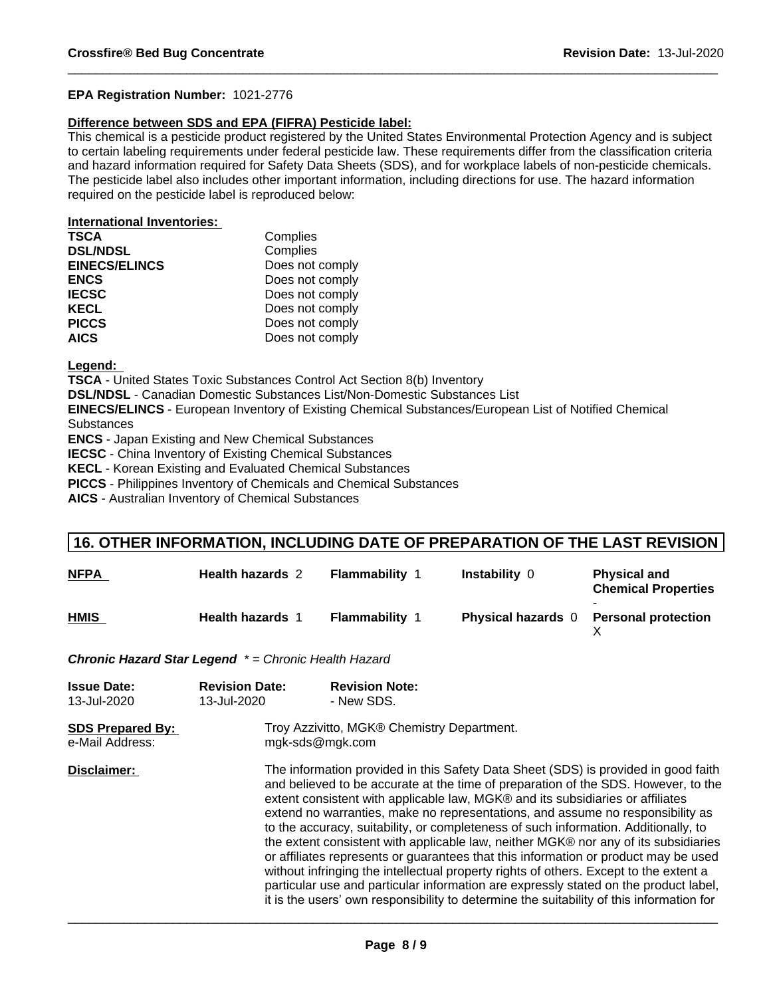# **EPA Registration Number:** 1021-2776

# **Difference between SDS and EPA (FIFRA) Pesticide label:**

This chemical is a pesticide product registered by the United States Environmental Protection Agency and is subject to certain labeling requirements under federal pesticide law. These requirements differ from the classification criteria and hazard information required for Safety Data Sheets (SDS), and for workplace labels of non-pesticide chemicals. The pesticide label also includes other important information, including directions for use. The hazard information required on the pesticide label is reproduced below:

# **International Inventories:**

| <b>TSCA</b>          | Complies        |
|----------------------|-----------------|
| <b>DSL/NDSL</b>      | Complies        |
| <b>EINECS/ELINCS</b> | Does not comply |
| <b>ENCS</b>          | Does not comply |
| <b>IECSC</b>         | Does not comply |
| <b>KECL</b>          | Does not comply |
| <b>PICCS</b>         | Does not comply |
| <b>AICS</b>          | Does not comply |

**Legend:** 

**TSCA** - United States Toxic Substances Control Act Section 8(b) Inventory

**DSL/NDSL** - Canadian Domestic Substances List/Non-Domestic Substances List

**EINECS/ELINCS** - European Inventory of Existing Chemical Substances/European List of Notified Chemical **Substances** 

**ENCS** - Japan Existing and New Chemical Substances

**IECSC** - China Inventory of Existing Chemical Substances

**KECL** - Korean Existing and Evaluated Chemical Substances

**PICCS** - Philippines Inventory of Chemicals and Chemical Substances

**AICS** - Australian Inventory of Chemical Substances

# **16. OTHER INFORMATION, INCLUDING DATE OF PREPARATION OF THE LAST REVISION**

| <b>NFPA</b> | <b>Health hazards 2</b> | Flammability | <b>Instability 0</b>      | <b>Physical and</b><br><b>Chemical Properties</b> |
|-------------|-------------------------|--------------|---------------------------|---------------------------------------------------|
| <b>HMIS</b> | <b>Health hazards 1</b> | Flammability | <b>Physical hazards</b> 0 | <b>Personal protection</b>                        |

*Chronic Hazard Star Legend \* = Chronic Health Hazard*

| <b>Issue Date:</b><br>13-Jul-2020          | <b>Revision Date:</b><br>13-Jul-2020 | <b>Revision Note:</b><br>- New SDS.                                                                                                                                                                                                                                                                                                                                                                                                                                                                                                                                                                                                                                                                                                                                                                                                                                                            |  |
|--------------------------------------------|--------------------------------------|------------------------------------------------------------------------------------------------------------------------------------------------------------------------------------------------------------------------------------------------------------------------------------------------------------------------------------------------------------------------------------------------------------------------------------------------------------------------------------------------------------------------------------------------------------------------------------------------------------------------------------------------------------------------------------------------------------------------------------------------------------------------------------------------------------------------------------------------------------------------------------------------|--|
| <b>SDS Prepared By:</b><br>e-Mail Address: |                                      | Troy Azzivitto, MGK® Chemistry Department.<br>mgk-sds@mgk.com                                                                                                                                                                                                                                                                                                                                                                                                                                                                                                                                                                                                                                                                                                                                                                                                                                  |  |
| Disclaimer:                                |                                      | The information provided in this Safety Data Sheet (SDS) is provided in good faith<br>and believed to be accurate at the time of preparation of the SDS. However, to the<br>extent consistent with applicable law, MGK® and its subsidiaries or affiliates<br>extend no warranties, make no representations, and assume no responsibility as<br>to the accuracy, suitability, or completeness of such information. Additionally, to<br>the extent consistent with applicable law, neither MGK® nor any of its subsidiaries<br>or affiliates represents or guarantees that this information or product may be used<br>without infringing the intellectual property rights of others. Except to the extent a<br>particular use and particular information are expressly stated on the product label,<br>it is the users' own responsibility to determine the suitability of this information for |  |